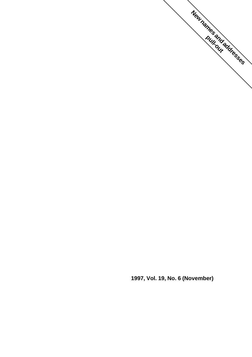

**1997, Vol. 19, No. 6 (November)**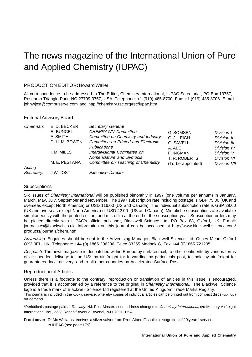# The news magazine of the International Union of Pure and Applied Chemistry (IUPAC)

#### PRODUCTION EDITOR: Howard Waller

All correspondence to be addressed to The Editor, Chemistry International, IUPAC Secretariat, PO Box 13757, Research Triangle Park, NC 27709-3757, USA. Telephone: +1 (919) 485 8700. Fax: +1 (919) 485 8706. E-mail: johnwjost@compuserve.com and http://chemistry.rsc.org/rsc/iupac.htm

#### Editorial Advisory Board

| Chairman:  | E. D. BECKER   | Secretary General                   |                   |              |
|------------|----------------|-------------------------------------|-------------------|--------------|
|            | E. BUNCEL      | <b>CHEMRAWN Committee</b>           | G. SOMSEN         | Division 1   |
|            | A. SMITH       | Committee on Chemistry and Industry | G. J. LEIGH       | Division II  |
|            | D. H. M. BOWEN | Committee on Printed and Electronic | G. SAVELLI        | Division III |
|            |                | <b>Publications</b>                 | A. ABE            | Division IV  |
|            | I. M. MILLS    | Interdivisional Committee on        | F. INGMAN         | Division V   |
|            |                | Nomenclature and Symbols            | T. R. ROBERTS     | Division VI  |
|            | M. E. PESTANA  | Committee on Teaching of Chemistry  | (To be appointed) | Division VII |
| Acting     |                |                                     |                   |              |
| Secretary: | J.W. JOST      | <b>Executive Director</b>           |                   |              |

#### **Subscriptions**

Six issues of Chemistry International will be published bimonthly in 1997 (one volume per annum) in January, March, May, July, September and November. The 1997 subscription rate including postage is GBP 75.00 (UK and overseas except North America) or USD 116.00 (US and Canada). The individual subscription rate is GBP 29.00 (UK and overseas except North America) or USD 42.00 (US and Canada). Microfiche subscriptions are available simultaneously with the printed edition, and microfilm at the end of the subscription year. Subscription orders may be placed directly with IUPAC's official publisher, Blackwell Science Ltd, PO Box 88, Oxford, UK; E-mail: journals.cs@blacksci.co.uk. Information on this journal can be accessed at http://www.blackwell-science.com/ products/journals/chem.htm

Advertising. Enquiries should be sent to the Advertising Manager, Blackwell Science Ltd, Osney Mead, Oxford OX2 0EL, UK. Telephone: +44 (0) 1865 206206, Telex 83355 Medbok G, Fax +44 (0)1865 721205.

Despatch. The news magazine is despatched within Europe by surface mail, to other continents by various forms of air-speeded delivery: to the US\* by air freight for forwarding by periodicals post, to India by air freight for guaranteeed local delivery, and to all other countries by Accelerated Surface Post.

#### Reproduction of Articles

Unless there is a footnote to the contrary, reproduction or translation of articles in this issue is encouraged, provided that it is accompanied by a reference to the original in Chemistry International. The Blackwell Science logo is a trade mark of Blackwell Science Ltd registered at the United Kingdom Trade Marks Registry. This journal is included in the ADONIS service, whereby copies of individual articles can be printed out from compact discs (cD-ROM) on demand.

\*Periodicals postage paid at Rahway, NJ. Post Master, send address changes to Chemistry International, c/o Mercury Airfreight International Inc., 2323 Randolf Avenue, Avenel, NJ 07001, USA.

**Front cover**: Dr Mo Williams receives a silver salver from Prof. Albert Fischli in recognition of 29 years' service to IUPAC (see page 179).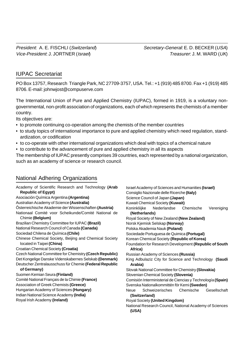## IUPAC Secretariat

PO Box 13757, Research Triangle Park, NC 27709-3757, USA. Tel.: +1 (919) 485 8700. Fax +1 (919) 485 8706. E-mail: johnwjost@compuserve.com

The International Union of Pure and Applied Chemistry (IUPAC), formed in 1919, is a voluntary nongovernmental, non-profit association of organizations, each of which represents the chemists of a member country.

Its objectives are:

- to promote continuing co-operation among the chemists of the member countries
- to study topics of international importance to pure and applied chemistry which need regulation, standardization, or codification
- to co-operate with other international organizations which deal with topics of a chemical nature
- to contribute to the advancement of pure and applied chemistry in all its aspects

The membership of IUPAC presently comprises 39 countries, each represented by a national organization, such as an academy of science or research council.

### National Adhering Organizations

Academy of Scientific Research and Technology **(Arab Republic of Egypt)** Asociación Química Argentina **(Argentina)** Australian Academy of Science **(Australia)** Ôsterreichische Akademie der Wissenschaften **(Austria)** Nationaal Comité voor Scheikunde/Comité National de Chimie **(Belgium)** Brazilian Chemistry Committee for IUPAC **(Brazil)** National Research Council of Canada **(Canada)** Sociedad Chilena de Química **(Chile)** Chinese Chemical Society, Beijing and Chemical Society located in Taipei **(China)** Croatian Chemical Society **(Croatia)** Czech National Committee for Chemistry **(Czech Republic)** Det Kongelige Danske Videnskabernes Selskab **(Denmark)** Deutscher Zentralausschuss für Chemie **(Federal Republic of Germany)** Suomen Kemian Seura **(Finland)** Comité National Français de la Chimie **(France)** Association of Greek Chemists **(Greece)** Hungarian Academy of Sciences **(Hungary)** Indian National Science Academy **(India)** Royal Irish Academy **(Ireland)**

Israel Academy of Sciences and Humanities **(Israel)** Consiglio Nazionale delle Ricerche **(Italy)** Science Council of Japan **(Japan)** Kuwait Chemical Society **(Kuwait)** Koninkliijke Nederlandse Chemische Vereniging **(Netherlands)** Royal Society of New Zealand **(New Zealand)** Norsk Kjemisk Selskap **(Norway)** Polska Akademia Nauk **(Poland)** Sociedade Portuguesa de Quimica **(Portugal)** Korean Chemical Society **(Republic of Korea)** Foundation for Research Development **(Republic of South Africa)** Russian Academy of Sciences **(Russia)** King Adbulaziz City for Science and Technology **(Saudi Arabia)** Slovak National Committee for Chemistry **(Slovakia)** Slovenian Chemical Society **(Slovenia)** Comisión Interministerial de Ciencias y Technología **(Spain)** Svenska Nationalkommittén för Kemi **(Sweden)** Neue Schweizerisches Chemische Gesellschaft **(Switzerland)** Royal Society **(United Kingdom)** National Research Council, National Academy of Sciences **(USA)**